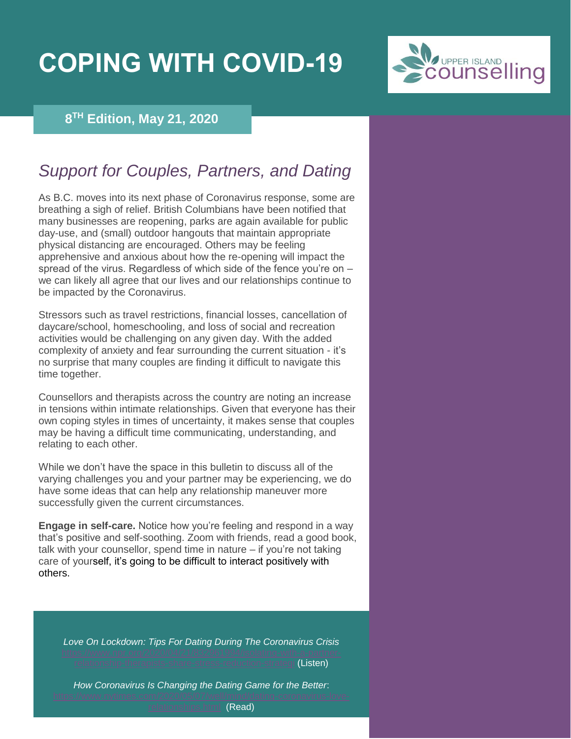## **COPING WITH COVID-19**



## **8 TH Edition, May 21, 2020**

## *Support for Couples, Partners, and Dating*

As B.C. moves into its next phase of Coronavirus response, some are breathing a sigh of relief. British Columbians have been notified that many businesses are reopening, parks are again available for public day-use, and (small) outdoor hangouts that maintain appropriate physical distancing are encouraged. Others may be feeling apprehensive and anxious about how the re-opening will impact the spread of the virus. Regardless of which side of the fence you're on – we can likely all agree that our lives and our relationships continue to be impacted by the Coronavirus.

Stressors such as travel restrictions, financial losses, cancellation of daycare/school, homeschooling, and loss of social and recreation activities would be challenging on any given day. With the added complexity of anxiety and fear surrounding the current situation - it's no surprise that many couples are finding it difficult to navigate this time together.

Counsellors and therapists across the country are noting an increase in tensions within intimate relationships. Given that everyone has their own coping styles in times of uncertainty, it makes sense that couples may be having a difficult time communicating, understanding, and relating to each other.

While we don't have the space in this bulletin to discuss all of the varying challenges you and your partner may be experiencing, we do have some ideas that can help any relationship maneuver more successfully given the current circumstances.

**Engage in self-care.** Notice how you're feeling and respond in a way that's positive and self-soothing. Zoom with friends, read a good book, talk with your counsellor, spend time in nature – if you're not taking care of yourself, it's going to be difficult to interact positively with others.

*Love On Lockdown: Tips For Dating During The Coronavirus Crisis*

ts-share-stress-reduction-strategi (Listen)

*How Coronavirus Is Changing the Dating Game for the Better*:

(Read)